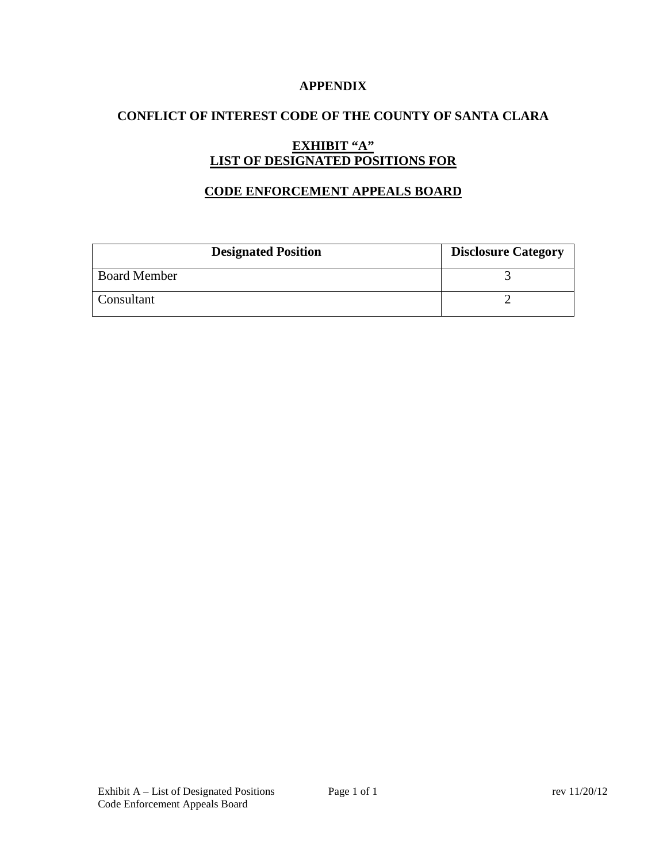### **APPENDIX**

# **CONFLICT OF INTEREST CODE OF THE COUNTY OF SANTA CLARA**

# **EXHIBIT "A" LIST OF DESIGNATED POSITIONS FOR**

### **CODE ENFORCEMENT APPEALS BOARD**

| <b>Designated Position</b> | <b>Disclosure Category</b> |
|----------------------------|----------------------------|
| <b>Board Member</b>        |                            |
| Consultant                 |                            |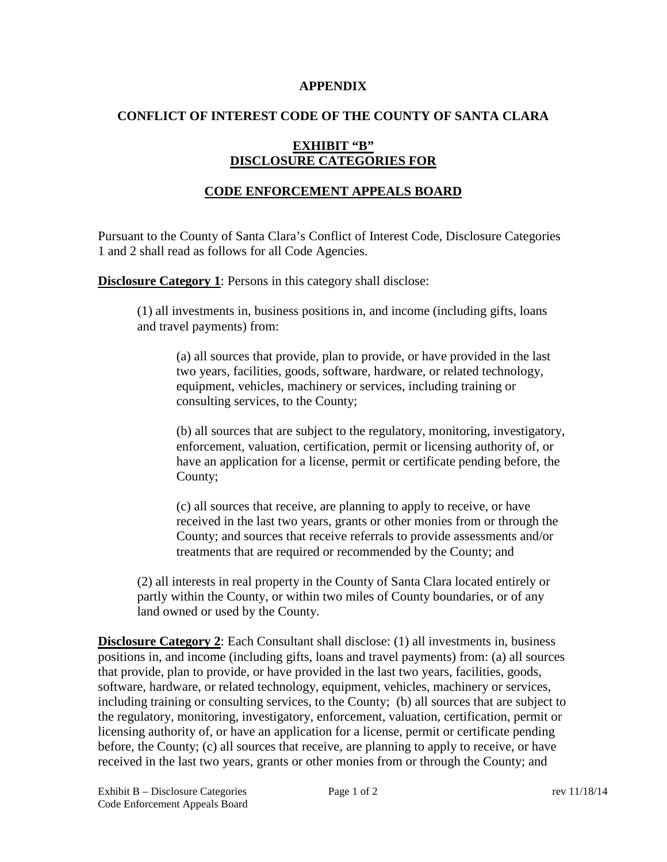#### **APPENDIX**

### **CONFLICT OF INTEREST CODE OF THE COUNTY OF SANTA CLARA**

# **EXHIBIT "B" DISCLOSURE CATEGORIES FOR**

# **CODE ENFORCEMENT APPEALS BOARD**

Pursuant to the County of Santa Clara's Conflict of Interest Code, Disclosure Categories 1 and 2 shall read as follows for all Code Agencies.

**Disclosure Category 1:** Persons in this category shall disclose:

(1) all investments in, business positions in, and income (including gifts, loans and travel payments) from:

(a) all sources that provide, plan to provide, or have provided in the last two years, facilities, goods, software, hardware, or related technology, equipment, vehicles, machinery or services, including training or consulting services, to the County;

(b) all sources that are subject to the regulatory, monitoring, investigatory, enforcement, valuation, certification, permit or licensing authority of, or have an application for a license, permit or certificate pending before, the County;

(c) all sources that receive, are planning to apply to receive, or have received in the last two years, grants or other monies from or through the County; and sources that receive referrals to provide assessments and/or treatments that are required or recommended by the County; and

(2) all interests in real property in the County of Santa Clara located entirely or partly within the County, or within two miles of County boundaries, or of any land owned or used by the County.

**Disclosure Category 2:** Each Consultant shall disclose: (1) all investments in, business positions in, and income (including gifts, loans and travel payments) from: (a) all sources that provide, plan to provide, or have provided in the last two years, facilities, goods, software, hardware, or related technology, equipment, vehicles, machinery or services, including training or consulting services, to the County; (b) all sources that are subject to the regulatory, monitoring, investigatory, enforcement, valuation, certification, permit or licensing authority of, or have an application for a license, permit or certificate pending before, the County; (c) all sources that receive, are planning to apply to receive, or have received in the last two years, grants or other monies from or through the County; and